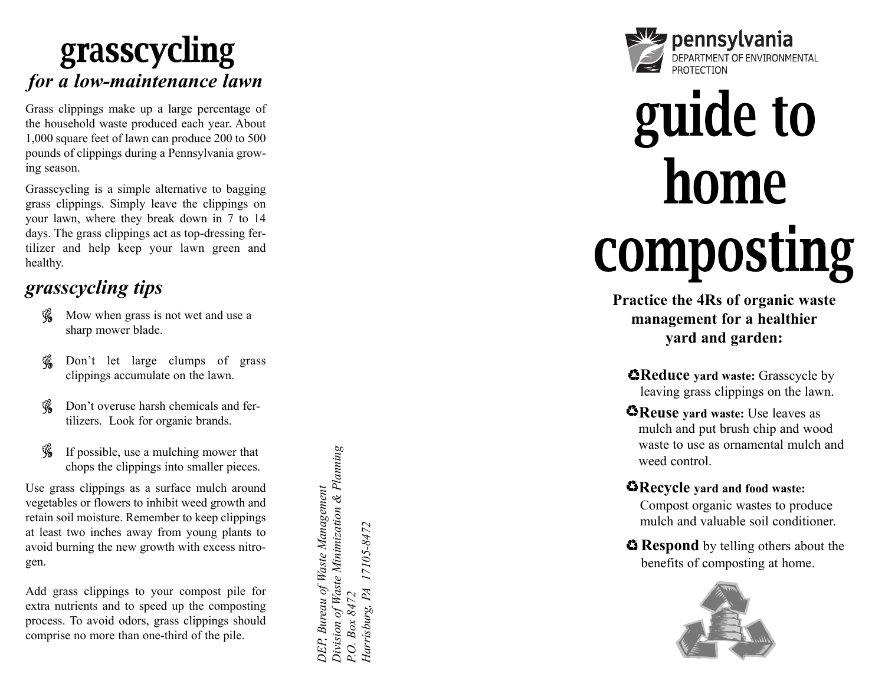### grasscycling *for a low-maintenance lawn*

Grass clippings make up a large percentage of the household waste produced each year. About 1,000 square feet of lawn can produce 200 to 500 pounds of clippings during a Pennsylvania growing season.

Grasscycling is a simple alternative to bagging grass clippings. Simply leave the clippings on your lawn, where they break down in 7 to 14 days. The grass clippings act as top-dressing fertilizer and help keep your lawn green and healthy.

#### *grasscycling tips*

- 瑷 Mow when grass is not wet and use a sharp mower blade.
- 瑷 Don't let large clumps of grass clippings accumulate on the lawn.
- 瑷 Don't overuse harsh chemicals and fertilizers. Look for organic brands.
- 瑷 If possible, use a mulching mower that chops the clippings into smaller pieces.

Use grass clippings as a surface mulch around vegetables or flowers to inhibit weed growth and retain soil moisture. Remember to keep clippings at least two inches away from young plants to avoid burning the new growth with excess nitrogen.

Add grass clippings to your compost pile for extra nutrients and to speed up the composting process. To avoid odors, grass clippings should comprise no more than one-third of the pile.

*Division of Waste Minimization & Planning* Division of Waste Minimization & Planning DEP, Bureau of Waste Management *DEP, Bureau of Waste Management* Harrisburg, PA 17105-8472 *Harrisburg, PA 17105-8472* P.O. Box 8472 *P.O. Box 8472*



# guide to home composting

**Practice the 4Rs of organic waste management for a healthier yard and garden:**

- **Reduce yard** waste: Grasscycle by leaving grass clippings on the lawn.
- **Pindiffully Reuse** yard waste: Use leaves as mulch and put brush chip and wood waste to use as ornamental mulch and weed control
- **Recycle yard and food waste:** Compost organic wastes to produce mulch and valuable soil conditioner.
- **Respond** by telling others about the benefits of composting at home.